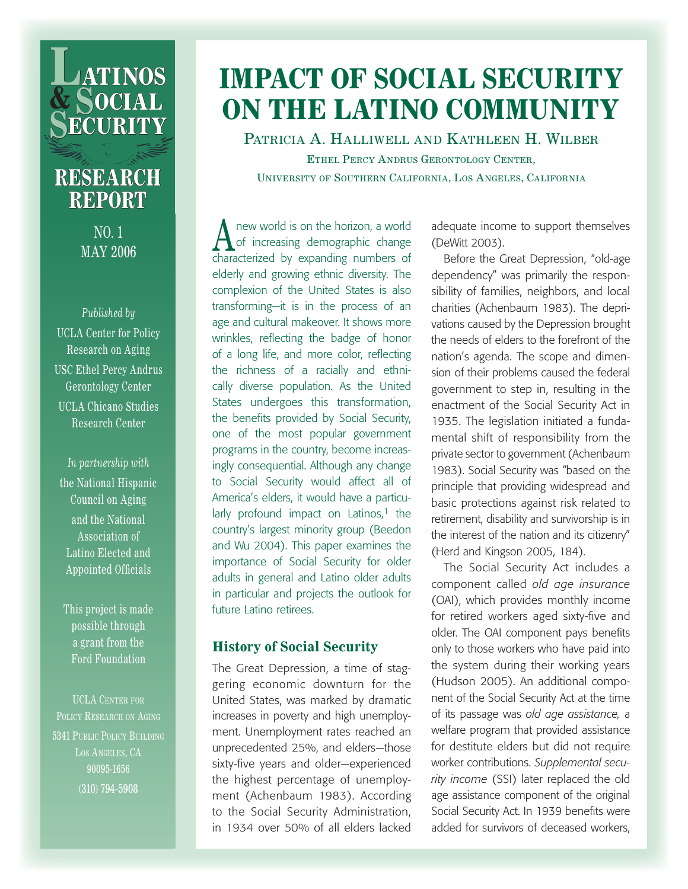

## **RESEARCH REPORT**

No. 1 May 2006

*Published by* UCLA Center for Policy Research on Aging USC Ethel Percy Andrus Gerontology Center UCLA Chicano Studies Research Center

*In partnership with* the National Hispanic Council on Aging and the National Association of Latino Elected and Appointed Officials

This project is made possible through a grant from the Ford Foundation

UCLA Center for POLICY RESEARCH ON AGING 5341 Public Policy Building LOS ANGELES, CA 90095-1656 (310) 794-5908

# **IMPACT OF SOCIAL SECURITY ON THE LATINO COMMUNITY**

Patricia A. Halliwell and Kathleen H. Wilber Ethel Percy Andrus Gerontology Center, University of Southern California, Los Angeles, California

A new world is on the horizon, a world<br>
of increasing demographic change characterized by expanding numbers of elderly and growing ethnic diversity. The complexion of the United States is also transforming—it is in the process of an age and cultural makeover. It shows more wrinkles, reflecting the badge of honor of a long life, and more color, reflecting the richness of a racially and ethnically diverse population. As the United States undergoes this transformation, the benefits provided by Social Security, one of the most popular government programs in the country, become increasingly consequential. Although any change to Social Security would affect all of America's elders, it would have a particularly profound impact on Latinos, $<sup>1</sup>$  the</sup> country's largest minority group (Beedon and Wu 2004). This paper examines the importance of Social Security for older adults in general and Latino older adults in particular and projects the outlook for future Latino retirees.

### **History of Social Security**

The Great Depression, a time of staggering economic downturn for the United States, was marked by dramatic increases in poverty and high unemployment. Unemployment rates reached an unprecedented 25%, and elders—those sixty-five years and older—experienced the highest percentage of unemployment (Achenbaum 1983). According to the Social Security Administration, in 1934 over 50% of all elders lacked

adequate income to support themselves (DeWitt 2003).

Before the Great Depression, "old-age dependency" was primarily the responsibility of families, neighbors, and local charities (Achenbaum 1983). The deprivations caused by the Depression brought the needs of elders to the forefront of the nation's agenda. The scope and dimension of their problems caused the federal government to step in, resulting in the enactment of the Social Security Act in 1935. The legislation initiated a fundamental shift of responsibility from the private sector to government (Achenbaum 1983). Social Security was "based on the principle that providing widespread and basic protections against risk related to retirement, disability and survivorship is in the interest of the nation and its citizenry" (Herd and Kingson 2005, 184).

The Social Security Act includes a component called *old age insurance*  (OAI), which provides monthly income for retired workers aged sixty-five and older. The OAI component pays benefits only to those workers who have paid into the system during their working years (Hudson 2005). An additional component of the Social Security Act at the time of its passage was *old age assistance,* a welfare program that provided assistance for destitute elders but did not require worker contributions. *Supplemental security income* (SSI) later replaced the old age assistance component of the original Social Security Act. In 1939 benefits were added for survivors of deceased workers,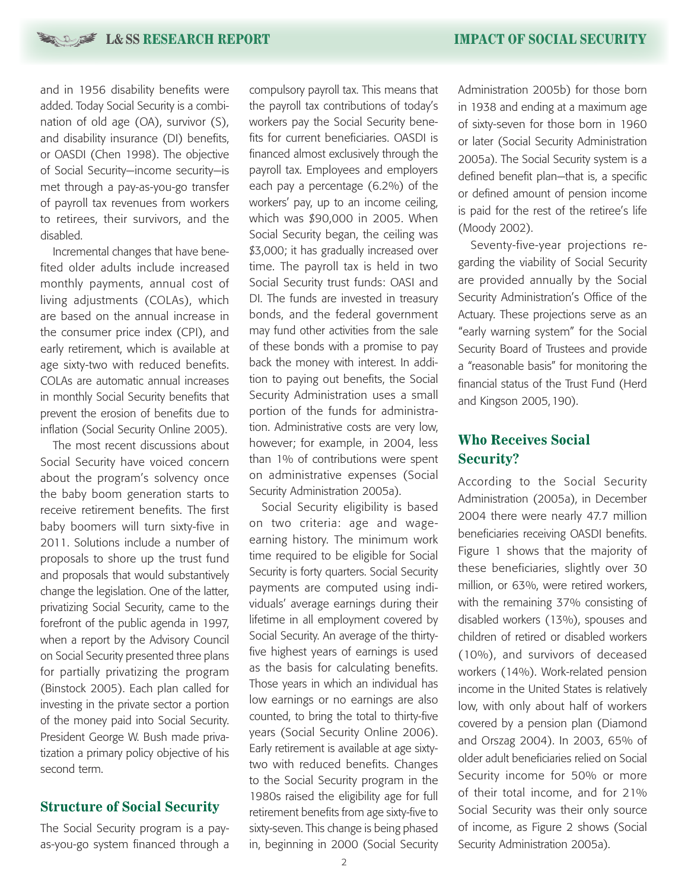**L&SS RESEARCH REPORT <b>IMPACT OF SOCIAL SECURITY** 

and in 1956 disability benefits were added. Today Social Security is a combination of old age (OA), survivor (S), and disability insurance (DI) benefits, or OASDI (Chen 1998). The objective of Social Security—income security—is met through a pay-as-you-go transfer of payroll tax revenues from workers to retirees, their survivors, and the disabled.

Incremental changes that have benefited older adults include increased monthly payments, annual cost of living adjustments (COLAs), which are based on the annual increase in the consumer price index (CPI), and early retirement, which is available at age sixty-two with reduced benefits. COLAs are automatic annual increases in monthly Social Security benefits that prevent the erosion of benefits due to inflation (Social Security Online 2005).

The most recent discussions about Social Security have voiced concern about the program's solvency once the baby boom generation starts to receive retirement benefits. The first baby boomers will turn sixty-five in 2011. Solutions include a number of proposals to shore up the trust fund and proposals that would substantively change the legislation. One of the latter, privatizing Social Security, came to the forefront of the public agenda in 1997, when a report by the Advisory Council on Social Security presented three plans for partially privatizing the program (Binstock 2005). Each plan called for investing in the private sector a portion of the money paid into Social Security. President George W. Bush made privatization a primary policy objective of his second term.

### **Structure of Social Security**

The Social Security program is a payas-you-go system financed through a

compulsory payroll tax. This means that the payroll tax contributions of today's workers pay the Social Security benefits for current beneficiaries. OASDI is financed almost exclusively through the payroll tax. Employees and employers each pay a percentage (6.2%) of the workers' pay, up to an income ceiling, which was \$90,000 in 2005. When Social Security began, the ceiling was \$3,000; it has gradually increased over time. The payroll tax is held in two Social Security trust funds: OASI and DI. The funds are invested in treasury bonds, and the federal government may fund other activities from the sale of these bonds with a promise to pay back the money with interest. In addition to paying out benefits, the Social Security Administration uses a small portion of the funds for administration. Administrative costs are very low, however; for example, in 2004, less than 1% of contributions were spent on administrative expenses (Social Security Administration 2005a).

Social Security eligibility is based on two criteria: age and wageearning history. The minimum work time required to be eligible for Social Security is forty quarters. Social Security payments are computed using individuals' average earnings during their lifetime in all employment covered by Social Security. An average of the thirtyfive highest years of earnings is used as the basis for calculating benefits. Those years in which an individual has low earnings or no earnings are also counted, to bring the total to thirty-five years (Social Security Online 2006). Early retirement is available at age sixtytwo with reduced benefits. Changes to the Social Security program in the 1980s raised the eligibility age for full retirement benefits from age sixty-five to sixty-seven. This change is being phased in, beginning in 2000 (Social Security Administration 2005b) for those born in 1938 and ending at a maximum age of sixty-seven for those born in 1960 or later (Social Security Administration 2005a). The Social Security system is a defined benefit plan—that is, a specific or defined amount of pension income is paid for the rest of the retiree's life (Moody 2002).

Seventy-five-year projections regarding the viability of Social Security are provided annually by the Social Security Administration's Office of the Actuary. These projections serve as an "early warning system" for the Social Security Board of Trustees and provide a "reasonable basis" for monitoring the financial status of the Trust Fund (Herd and Kingson 2005,190).

### **Who Receives Social Security?**

According to the Social Security Administration (2005a), in December 2004 there were nearly 47.7 million beneficiaries receiving OASDI benefits. Figure 1 shows that the majority of these beneficiaries, slightly over 30 million, or 63%, were retired workers, with the remaining 37% consisting of disabled workers (13%), spouses and children of retired or disabled workers (10%), and survivors of deceased workers (14%). Work-related pension income in the United States is relatively low, with only about half of workers covered by a pension plan (Diamond and Orszag 2004). In 2003, 65% of older adult beneficiaries relied on Social Security income for 50% or more of their total income, and for 21% Social Security was their only source of income, as Figure 2 shows (Social Security Administration 2005a).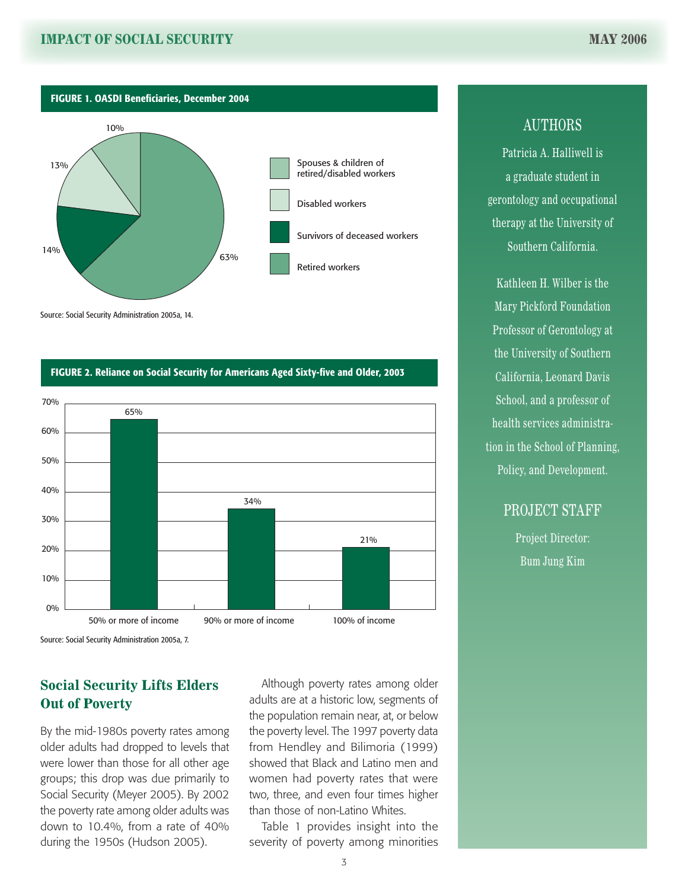Figure 1. OASDI Beneficiaries, December 2004



Source: Social Security Administration 2005a, 14.

#### Figure 2. Reliance on Social Security for Americans Aged Sixty-five and Older, 2003



Source: Social Security Administration 2005a, 7.

### **Social Security Lifts Elders Out of Poverty**

By the mid-1980s poverty rates among older adults had dropped to levels that were lower than those for all other age groups; this drop was due primarily to Social Security (Meyer 2005). By 2002 the poverty rate among older adults was down to 10.4%, from a rate of 40% during the 1950s (Hudson 2005).

Although poverty rates among older adults are at a historic low, segments of the population remain near, at, or below the poverty level. The 1997 poverty data from Hendley and Bilimoria (1999) showed that Black and Latino men and women had poverty rates that were two, three, and even four times higher than those of non-Latino Whites.

Table 1 provides insight into the severity of poverty among minorities

### **AUTHORS**

Patricia A. Halliwell is a graduate student in gerontology and occupational therapy at the University of Southern California.

Kathleen H. Wilber is the Mary Pickford Foundation Professor of Gerontology at the University of Southern California, Leonard Davis School, and a professor of health services administration in the School of Planning, Policy, and Development.

PROJECT STAFF

Project Director: Bum Jung Kim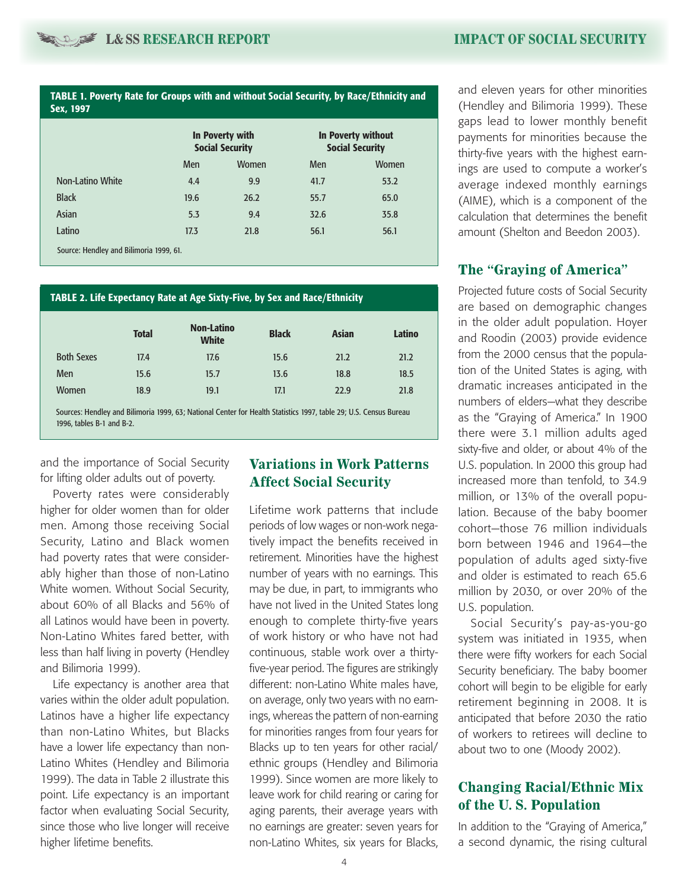Table 1. Poverty Rate for Groups with and without Social Security, by Race/Ethnicity and Sex, 1997

|                  | In Poverty with<br><b>Social Security</b> |       | <b>In Poverty without</b><br><b>Social Security</b> |       |
|------------------|-------------------------------------------|-------|-----------------------------------------------------|-------|
|                  | <b>Men</b>                                | Women | <b>Men</b>                                          | Women |
| Non-Latino White | 4.4                                       | 9.9   | 41.7                                                | 53.2  |
| <b>Black</b>     | 19.6                                      | 26.2  | 55.7                                                | 65.0  |
| Asian            | 5.3                                       | 9.4   | 32.6                                                | 35.8  |
| Latino           | 17.3                                      | 21.8  | 56.1                                                | 56.1  |

#### Table 2. Life Expectancy Rate at Age Sixty-Five, by Sex and Race/Ethnicity

|                   | <b>Total</b> | <b>Non-Latino</b><br><b>White</b> | <b>Black</b> | <b>Asian</b> | <b>Latino</b> |
|-------------------|--------------|-----------------------------------|--------------|--------------|---------------|
| <b>Both Sexes</b> | 17.4         | 17.6                              | 15.6         | 21.2         | 21.2          |
| Men               | 15.6         | 15.7                              | 13.6         | 18.8         | 18.5          |
| Women             | 18.9         | 19.1                              | 17.1         | 22.9         | 21.8          |

Sources: Hendley and Bilimoria 1999, 63; National Center for Health Statistics 1997, table 29; U.S. Census Bureau 1996, tables B-1 and B-2.

and the importance of Social Security for lifting older adults out of poverty.

Poverty rates were considerably higher for older women than for older men. Among those receiving Social Security, Latino and Black women had poverty rates that were considerably higher than those of non-Latino White women. Without Social Security, about 60% of all Blacks and 56% of all Latinos would have been in poverty. Non-Latino Whites fared better, with less than half living in poverty (Hendley and Bilimoria 1999).

Life expectancy is another area that varies within the older adult population. Latinos have a higher life expectancy than non-Latino Whites, but Blacks have a lower life expectancy than non-Latino Whites (Hendley and Bilimoria 1999). The data in Table 2 illustrate this point. Life expectancy is an important factor when evaluating Social Security, since those who live longer will receive higher lifetime benefits.

### **Variations in Work Patterns Affect Social Security**

Lifetime work patterns that include periods of low wages or non-work negatively impact the benefits received in retirement. Minorities have the highest number of years with no earnings. This may be due, in part, to immigrants who have not lived in the United States long enough to complete thirty-five years of work history or who have not had continuous, stable work over a thirtyfive-year period. The figures are strikingly different: non-Latino White males have, on average, only two years with no earnings, whereas the pattern of non-earning for minorities ranges from four years for Blacks up to ten years for other racial/ ethnic groups (Hendley and Bilimoria 1999). Since women are more likely to leave work for child rearing or caring for aging parents, their average years with no earnings are greater: seven years for non-Latino Whites, six years for Blacks,

and eleven years for other minorities (Hendley and Bilimoria 1999). These gaps lead to lower monthly benefit payments for minorities because the thirty-five years with the highest earnings are used to compute a worker's average indexed monthly earnings (AIME), which is a component of the calculation that determines the benefit amount (Shelton and Beedon 2003).

#### **The "Graying of America"**

Projected future costs of Social Security are based on demographic changes in the older adult population. Hoyer and Roodin (2003) provide evidence from the 2000 census that the population of the United States is aging, with dramatic increases anticipated in the numbers of elders—what they describe as the "Graying of America." In 1900 there were 3.1 million adults aged sixty-five and older, or about 4% of the U.S. population. In 2000 this group had increased more than tenfold, to 34.9 million, or 13% of the overall population. Because of the baby boomer cohort—those 76 million individuals born between 1946 and 1964—the population of adults aged sixty-five and older is estimated to reach 65.6 million by 2030, or over 20% of the U.S. population.

Social Security's pay-as-you-go system was initiated in 1935, when there were fifty workers for each Social Security beneficiary. The baby boomer cohort will begin to be eligible for early retirement beginning in 2008. It is anticipated that before 2030 the ratio of workers to retirees will decline to about two to one (Moody 2002).

### **Changing Racial/Ethnic Mix of the U. S. Population**

In addition to the "Graying of America," a second dynamic, the rising cultural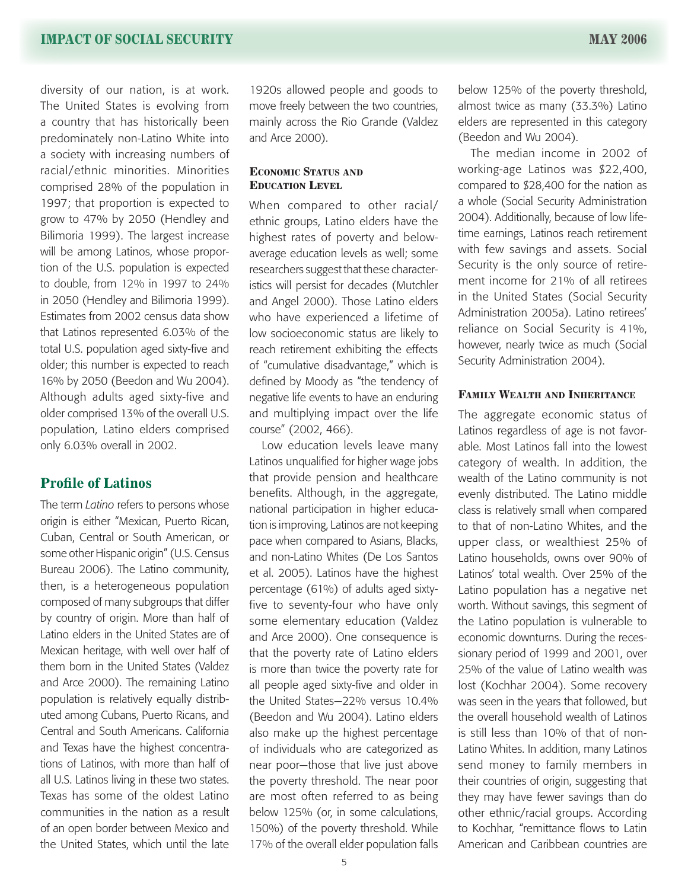diversity of our nation, is at work. The United States is evolving from a country that has historically been predominately non-Latino White into a society with increasing numbers of racial/ethnic minorities. Minorities comprised 28% of the population in 1997; that proportion is expected to grow to 47% by 2050 (Hendley and Bilimoria 1999). The largest increase will be among Latinos, whose proportion of the U.S. population is expected to double, from 12% in 1997 to 24% in 2050 (Hendley and Bilimoria 1999). Estimates from 2002 census data show that Latinos represented 6.03% of the total U.S. population aged sixty-five and older; this number is expected to reach 16% by 2050 (Beedon and Wu 2004). Although adults aged sixty-five and older comprised 13% of the overall U.S. population, Latino elders comprised only 6.03% overall in 2002.

### **Profile of Latinos**

The term *Latino* refers to persons whose origin is either "Mexican, Puerto Rican, Cuban, Central or South American, or some other Hispanic origin" (U.S. Census Bureau 2006). The Latino community, then, is a heterogeneous population composed of many subgroups that differ by country of origin. More than half of Latino elders in the United States are of Mexican heritage, with well over half of them born in the United States (Valdez and Arce 2000). The remaining Latino population is relatively equally distributed among Cubans, Puerto Ricans, and Central and South Americans. California and Texas have the highest concentrations of Latinos, with more than half of all U.S. Latinos living in these two states. Texas has some of the oldest Latino communities in the nation as a result of an open border between Mexico and the United States, which until the late

1920s allowed people and goods to move freely between the two countries, mainly across the Rio Grande (Valdez and Arce 2000).

#### **Economic Status and Education Level**

When compared to other racial/ ethnic groups, Latino elders have the highest rates of poverty and belowaverage education levels as well; some researchers suggest that these characteristics will persist for decades (Mutchler and Angel 2000). Those Latino elders who have experienced a lifetime of low socioeconomic status are likely to reach retirement exhibiting the effects of "cumulative disadvantage," which is defined by Moody as "the tendency of negative life events to have an enduring and multiplying impact over the life course" (2002, 466).

Low education levels leave many Latinos unqualified for higher wage jobs that provide pension and healthcare benefits. Although, in the aggregate, national participation in higher education is improving, Latinos are not keeping pace when compared to Asians, Blacks, and non-Latino Whites (De Los Santos et al. 2005). Latinos have the highest percentage (61%) of adults aged sixtyfive to seventy-four who have only some elementary education (Valdez and Arce 2000). One consequence is that the poverty rate of Latino elders is more than twice the poverty rate for all people aged sixty-five and older in the United States—22% versus 10.4% (Beedon and Wu 2004). Latino elders also make up the highest percentage of individuals who are categorized as near poor—those that live just above the poverty threshold. The near poor are most often referred to as being below 125% (or, in some calculations, 150%) of the poverty threshold. While 17% of the overall elder population falls

below 125% of the poverty threshold, almost twice as many (33.3%) Latino elders are represented in this category (Beedon and Wu 2004).

The median income in 2002 of working-age Latinos was \$22,400, compared to \$28,400 for the nation as a whole (Social Security Administration 2004). Additionally, because of low lifetime earnings, Latinos reach retirement with few savings and assets. Social Security is the only source of retirement income for 21% of all retirees in the United States (Social Security Administration 2005a). Latino retirees' reliance on Social Security is 41%, however, nearly twice as much (Social Security Administration 2004).

#### **Family Wealth and Inheritance**

The aggregate economic status of Latinos regardless of age is not favorable. Most Latinos fall into the lowest category of wealth. In addition, the wealth of the Latino community is not evenly distributed. The Latino middle class is relatively small when compared to that of non-Latino Whites, and the upper class, or wealthiest 25% of Latino households, owns over 90% of Latinos' total wealth. Over 25% of the Latino population has a negative net worth. Without savings, this segment of the Latino population is vulnerable to economic downturns. During the recessionary period of 1999 and 2001, over 25% of the value of Latino wealth was lost (Kochhar 2004). Some recovery was seen in the years that followed, but the overall household wealth of Latinos is still less than 10% of that of non-Latino Whites. In addition, many Latinos send money to family members in their countries of origin, suggesting that they may have fewer savings than do other ethnic/racial groups. According to Kochhar, "remittance flows to Latin American and Caribbean countries are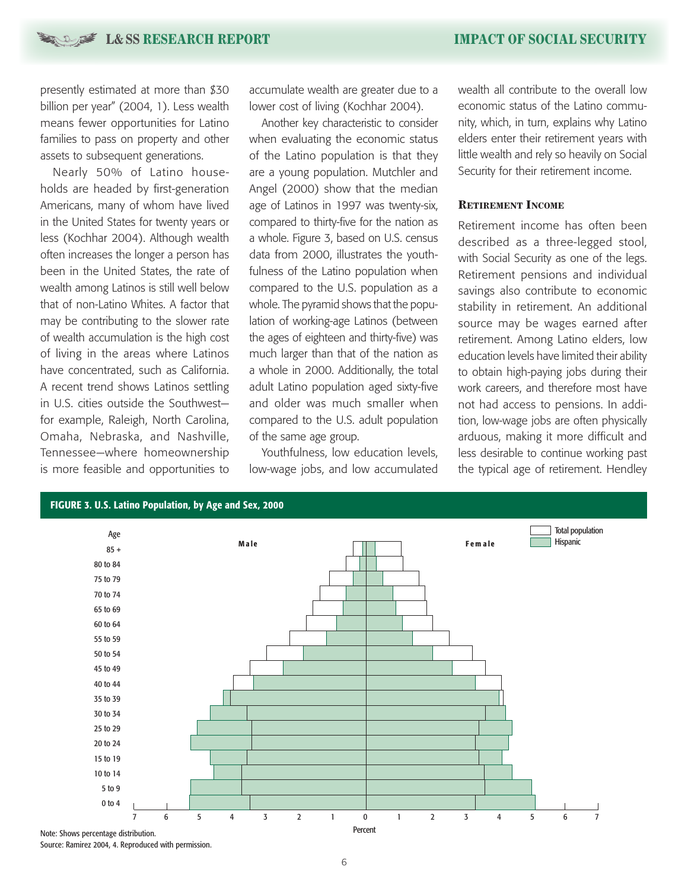presently estimated at more than \$30 billion per year" (2004, 1). Less wealth means fewer opportunities for Latino families to pass on property and other assets to subsequent generations.

Nearly 50% of Latino households are headed by first-generation Americans, many of whom have lived in the United States for twenty years or less (Kochhar 2004). Although wealth often increases the longer a person has been in the United States, the rate of wealth among Latinos is still well below that of non-Latino Whites. A factor that may be contributing to the slower rate of wealth accumulation is the high cost of living in the areas where Latinos have concentrated, such as California. A recent trend shows Latinos settling in U.S. cities outside the Southwest for example, Raleigh, North Carolina, Omaha, Nebraska, and Nashville, Tennessee—where homeownership is more feasible and opportunities to

accumulate wealth are greater due to a lower cost of living (Kochhar 2004).

Another key characteristic to consider when evaluating the economic status of the Latino population is that they are a young population. Mutchler and Angel (2000) show that the median age of Latinos in 1997 was twenty-six, compared to thirty-five for the nation as a whole. Figure 3, based on U.S. census data from 2000, illustrates the youthfulness of the Latino population when compared to the U.S. population as a whole. The pyramid shows that the population of working-age Latinos (between the ages of eighteen and thirty-five) was much larger than that of the nation as a whole in 2000. Additionally, the total adult Latino population aged sixty-five and older was much smaller when compared to the U.S. adult population of the same age group.

Youthfulness, low education levels, low-wage jobs, and low accumulated

wealth all contribute to the overall low economic status of the Latino community, which, in turn, explains why Latino elders enter their retirement years with little wealth and rely so heavily on Social Security for their retirement income.

#### **Retirement Income**

Retirement income has often been described as a three-legged stool, with Social Security as one of the legs. Retirement pensions and individual savings also contribute to economic stability in retirement. An additional source may be wages earned after retirement. Among Latino elders, low education levels have limited their ability to obtain high-paying jobs during their work careers, and therefore most have not had access to pensions. In addition, low-wage jobs are often physically arduous, making it more difficult and less desirable to continue working past the typical age of retirement. Hendley



Source: Ramirez 2004, 4. Reproduced with permission.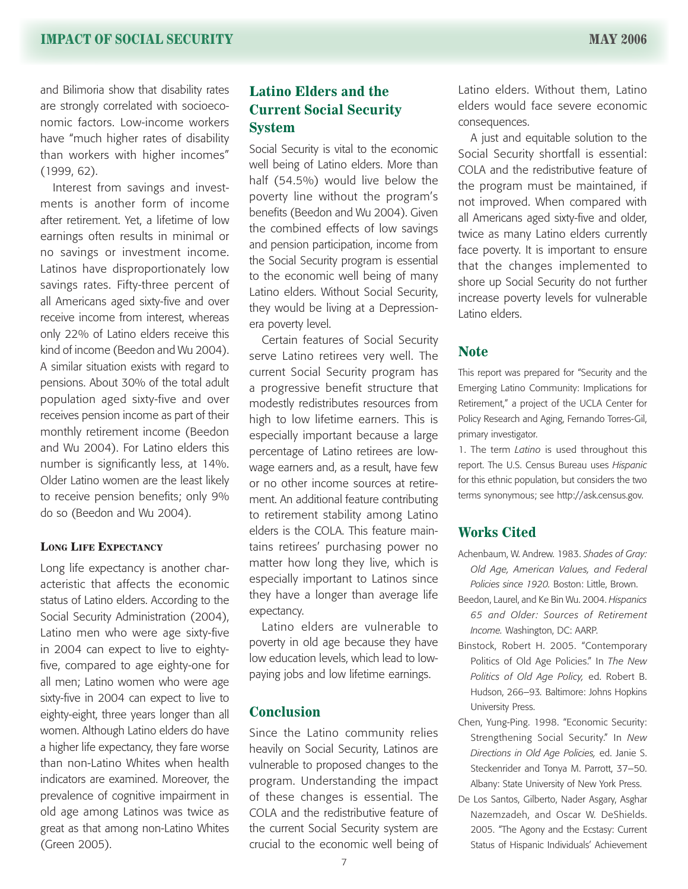and Bilimoria show that disability rates are strongly correlated with socioeconomic factors. Low-income workers have "much higher rates of disability than workers with higher incomes" (1999, 62).

Interest from savings and investments is another form of income after retirement. Yet, a lifetime of low earnings often results in minimal or no savings or investment income. Latinos have disproportionately low savings rates. Fifty-three percent of all Americans aged sixty-five and over receive income from interest, whereas only 22% of Latino elders receive this kind of income (Beedon and Wu 2004). A similar situation exists with regard to pensions. About 30% of the total adult population aged sixty-five and over receives pension income as part of their monthly retirement income (Beedon and Wu 2004). For Latino elders this number is significantly less, at 14%. Older Latino women are the least likely to receive pension benefits; only 9% do so (Beedon and Wu 2004).

#### **Long Life Expectancy**

Long life expectancy is another characteristic that affects the economic status of Latino elders. According to the Social Security Administration (2004), Latino men who were age sixty-five in 2004 can expect to live to eightyfive, compared to age eighty-one for all men; Latino women who were age sixty-five in 2004 can expect to live to eighty-eight, three years longer than all women. Although Latino elders do have a higher life expectancy, they fare worse than non-Latino Whites when health indicators are examined. Moreover, the prevalence of cognitive impairment in old age among Latinos was twice as great as that among non-Latino Whites (Green 2005).

### **Latino Elders and the Current Social Security System**

Social Security is vital to the economic well being of Latino elders. More than half (54.5%) would live below the poverty line without the program's benefits (Beedon and Wu 2004). Given the combined effects of low savings and pension participation, income from the Social Security program is essential to the economic well being of many Latino elders. Without Social Security, they would be living at a Depressionera poverty level.

Certain features of Social Security serve Latino retirees very well. The current Social Security program has a progressive benefit structure that modestly redistributes resources from high to low lifetime earners. This is especially important because a large percentage of Latino retirees are lowwage earners and, as a result, have few or no other income sources at retirement. An additional feature contributing to retirement stability among Latino elders is the COLA. This feature maintains retirees' purchasing power no matter how long they live, which is especially important to Latinos since they have a longer than average life expectancy.

Latino elders are vulnerable to poverty in old age because they have low education levels, which lead to lowpaying jobs and low lifetime earnings.

### **Conclusion**

Since the Latino community relies heavily on Social Security, Latinos are vulnerable to proposed changes to the program. Understanding the impact of these changes is essential. The COLA and the redistributive feature of the current Social Security system are crucial to the economic well being of Latino elders. Without them, Latino elders would face severe economic consequences.

A just and equitable solution to the Social Security shortfall is essential: COLA and the redistributive feature of the program must be maintained, if not improved. When compared with all Americans aged sixty-five and older, twice as many Latino elders currently face poverty. It is important to ensure that the changes implemented to shore up Social Security do not further increase poverty levels for vulnerable Latino elders.

#### **Note**

This report was prepared for "Security and the Emerging Latino Community: Implications for Retirement," a project of the UCLA Center for Policy Research and Aging, Fernando Torres-Gil, primary investigator.

1. The term *Latino* is used throughout this report. The U.S. Census Bureau uses *Hispanic* for this ethnic population, but considers the two terms synonymous; see http://ask.census.gov.

### **Works Cited**

- Achenbaum, W. Andrew. 1983. *Shades of Gray: Old Age, American Values, and Federal Policies since 1920.* Boston: Little, Brown.
- Beedon, Laurel, and Ke Bin Wu. 2004. *Hispanics 65 and Older: Sources of Retirement Income.* Washington, DC: AARP.
- Binstock, Robert H. 2005. "Contemporary Politics of Old Age Policies." In *The New Politics of Old Age Policy,* ed. Robert B. Hudson, 266–93*.* Baltimore: Johns Hopkins University Press.
- Chen, Yung-Ping. 1998. "Economic Security: Strengthening Social Security." In *New Directions in Old Age Policies,* ed. Janie S. Steckenrider and Tonya M. Parrott, 37–50. Albany: State University of New York Press.
- De Los Santos, Gilberto, Nader Asgary, Asghar Nazemzadeh, and Oscar W. DeShields. 2005. "The Agony and the Ecstasy: Current Status of Hispanic Individuals' Achievement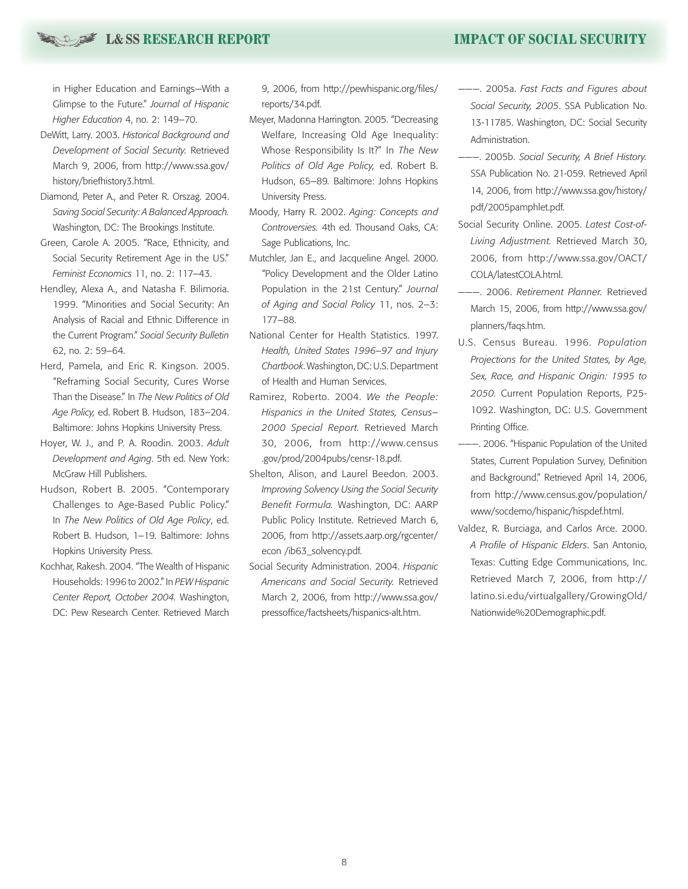### **L & SS RESEARCH REPORT IMPACT OF SOCIAL SECURITY**

in Higher Education and Earnings—With a Glimpse to the Future." *Journal of Hispanic Higher Education* 4, no. 2: 149–70.

- DeWitt, Larry. 2003. *Historical Background and Development of Social Security.* Retrieved March 9, 2006, from http://www.ssa.gov/ history/briefhistory3.html.
- Diamond, Peter A., and Peter R. Orszag. 2004. *Saving Social Security: A Balanced Approach.* Washington, DC: The Brookings Institute.
- Green, Carole A. 2005. "Race, Ethnicity, and Social Security Retirement Age in the US." *Feminist Economics* 11, no. 2: 117–43.
- Hendley, Alexa A., and Natasha F. Bilimoria. 1999. "Minorities and Social Security: An Analysis of Racial and Ethnic Difference in the Current Program." *Social Security Bulletin*  62, no. 2: 59–64.
- Herd, Pamela, and Eric R. Kingson. 2005. "Reframing Social Security, Cures Worse Than the Disease." In *The New Politics of Old Age Policy,* ed. Robert B. Hudson, 183–204. Baltimore: Johns Hopkins University Press.
- Hoyer, W. J., and P. A. Roodin. 2003. *Adult Development and Aging*. 5th ed. New York: McGraw Hill Publishers.
- Hudson, Robert B. 2005. "Contemporary Challenges to Age-Based Public Policy." In *The New Politics of Old Age Policy*, ed. Robert B. Hudson, 1–19*.* Baltimore: Johns Hopkins University Press.
- Kochhar, Rakesh. 2004. "The Wealth of Hispanic Households: 1996 to 2002." In *PEW Hispanic Center Report, October 2004.* Washington, DC: Pew Research Center. Retrieved March

9, 2006, from http://pewhispanic.org/files/ reports/34.pdf.

- Meyer, Madonna Harrington. 2005. "Decreasing Welfare, Increasing Old Age Inequality: Whose Responsibility Is It?" In *The New Politics of Old Age Policy,* ed. Robert B. Hudson, 65–89*.* Baltimore: Johns Hopkins University Press.
- Moody, Harry R. 2002. *Aging: Concepts and Controversies.* 4th ed. Thousand Oaks, CA: Sage Publications, Inc.
- Mutchler, Jan E., and Jacqueline Angel. 2000. "Policy Development and the Older Latino Population in the 21st Century." *Journal of Aging and Social Policy* 11, nos. 2–3: 177–88.
- National Center for Health Statistics. 1997. *Health, United States 1996–97 and Injury Chartbook*. Washington, DC: U.S. Department of Health and Human Services.
- Ramirez, Roberto. 2004. *We the People: Hispanics in the United States, Census– 2000 Special Report.* Retrieved March 30, 2006, from http://www.census .gov/prod/2004pubs/censr-18.pdf.
- Shelton, Alison, and Laurel Beedon. 2003. *Improving Solvency Using the Social Security Benefit Formula.* Washington, DC: AARP Public Policy Institute. Retrieved March 6, 2006, from http://assets.aarp.org/rgcenter/ econ /ib63\_solvency.pdf.
- Social Security Administration. 2004. *Hispanic Americans and Social Security.* Retrieved March 2, 2006, from http://www.ssa.gov/ pressoffice/factsheets/hispanics-alt.htm.
- ———. 2005a. *Fast Facts and Figures about Social Security, 2005*. SSA Publication No. 13-11785. Washington, DC: Social Security Administration.
- ———. 2005b. *Social Security, A Brief History.*  SSA Publication No. 21-059. Retrieved April 14, 2006, from http://www.ssa.gov/history/ pdf/2005pamphlet.pdf.
- Social Security Online. 2005. *Latest Cost-of-Living Adjustment.* Retrieved March 30, 2006, from http://www.ssa.gov/OACT/ COLA/latestCOLA.html.
- ———. 2006. *Retirement Planner.* Retrieved March 15, 2006, from http://www.ssa.gov/ planners/faqs.htm.
- U.S. Census Bureau. 1996. *Population Projections for the United States, by Age, Sex, Race, and Hispanic Origin: 1995 to 2050.* Current Population Reports, P25- 1092. Washington, DC: U.S. Government Printing Office.
- ———. 2006. "Hispanic Population of the United States, Current Population Survey, Definition and Background." Retrieved April 14, 2006, from http://www.census.gov/population/ www/socdemo/hispanic/hispdef.html.
- Valdez, R. Burciaga, and Carlos Arce. 2000. *A Profile of Hispanic Elders*. San Antonio, Texas: Cutting Edge Communications, Inc. Retrieved March 7, 2006, from http:// latino.si.edu/virtualgallery/GrowingOld/ Nationwide%20Demographic.pdf.